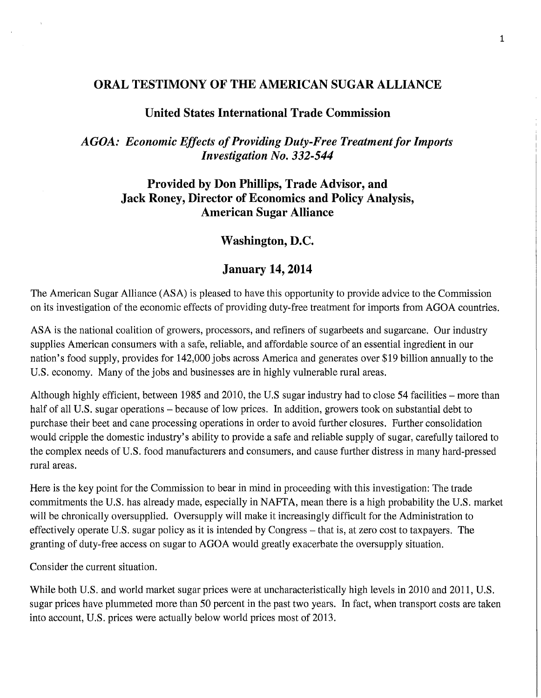# **ORAL TESTIMONY OF THE AMERICAN SUGAR ALLIANCE**

## **United States International Trade Commission**

# *AGOA: Economic Effects of Providing Duty-Free Treatment for Imports Investigation No. 332-544*

# **Provided by Don Phillips, Trade Advisor, and Jack Roney, Director of Economics and Policy Analysis, American Sugar Alliance**

# **Washington, D.C.**

### **January 14,2014**

The American Sugar Alliance (ASA) is pleased to have this opportunity to provide advice to the Commission on its investigation of the economic effects of providing duty-free treatment for imports from AGOA countries.

ASA is the national coalition of growers, processors, and refiners of sugarbeets and sugarcane. Our industry supplies American consumers with a safe, reliable, and affordable source of an essential ingredient in our nation's food supply, provides for 142,000 jobs across America and generates over \$19 billion annually to the U.S. economy. Many of the jobs and businesses are in highly vulnerable rural areas.

Although highly efficient, between 1985 and 2010, the U.S sugar industry had to close 54 facilities – more than half of all U.S. sugar operations – because of low prices. In addition, growers took on substantial debt to purchase their beet and cane processing operations in order to avoid further closures. Further consolidation would cripple the domestic industry's ability to provide a safe and reliable supply of sugar, carefully tailored to the complex needs of U.S. food manufacturers and consumers, and cause further distress in many hard-pressed rural areas.

Here is the key point for the Commission to bear in mind in proceeding with this investigation: The trade commitments the U.S. has already made, especially in NAFTA, mean there is a high probability the U.S. market will be chronically oversupplied. Oversupply will make it increasingly difficult for the Administration to effectively operate U.S. sugar policy as it is intended by Congress - that is, at zero cost to taxpayers. The granting of duty-free access on sugar to AGOA would greatly exacerbate the oversupply situation.

Consider the current situation.

While both U.S. and world market sugar prices were at uncharacteristically high levels in 2010 and 2011, U.S. sugar prices have plummeted more than 50 percent in the past two years. In fact, when transport costs are taken into account, U.S. prices were actually below world prices most of 2013.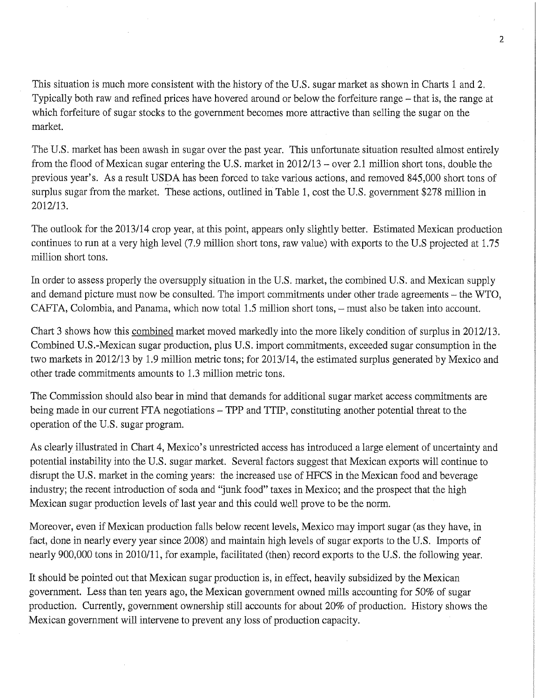This situation is much more consistent with the history of the U.S. sugar market as shown in Charts 1 and 2. Typically both raw and refined prices have hovered around or below the forfeiture range - that is, the range at which forfeiture of sugar stocks to the government becomes more attractive than selling the sugar on the market.

The U.S. market has been awash in sugar over the past year. This unfortunate situation resulted almost entirely from the flood of Mexican sugar entering the U.S. market in 2012/13 - over 2.1 million short tons, double the previous year's. As a result USDA has been forced to take various actions, and removed 845,000 short tons of surplus sugar from the market. These actions, outlined in Table 1, cost the U.S. government \$278 million in 2012/13.

The outlook for the 2013/14 crop year, at this point, appears only slightly better. Estimated Mexican production continues to run at a very high level (7.9 million short tons, raw value) with exports to the U.S projected at 1.75 million short tons.

In order to assess properly the oversupply situation in the U.S. market, the combined U.S. and Mexican supply and demand picture must now be consulted. The import commitments under other trade agreements - the WTO, CAFTA, Colombia, and Panama, which now total 1.5 million short tons, - must also be taken into account.

Chart 3 shows how this combined market moved markedly into the more likely condition of surplus in 2012/13. Combined U.S.-Mexican sugar production, plus U.S. import commitments, exceeded sugar consumption in the two markets in 2012/13 by 1.9 million metric tons; for 2013/14, the estimated surplus generated by Mexico and other trade commitments amounts to 1.3 million metric tons.

The Commission should also bear in mind that demands for additional sugar market access commitments are being made in our current FTA negotiations – TPP and TTIP, constituting another potential threat to the operation of the U.S. sugar program.

As clearly illustrated in Chart 4, Mexico's unrestricted access has introduced a large element of uncertainty and potential instability into the U.S. sugar market. Several factors suggest that Mexican exports will continue to disrupt the U.S. market in the coming years: the increased use of HFCS in the Mexican food and beverage industry; the recent introduction of soda and "junk food" taxes in Mexico; and the prospect that the high Mexican sugar production levels of last year and this could well prove to be the norm.

Moreover, even if Mexican production falls below recent levels, Mexico may import sugar (as they have, in fact, done in nearly every year since 2008) and maintain high levels of sugar exports to the U.S. Imports of nearly 900,000 tons in 2010/11, for example, facilitated (then) record exports to the U.S. the following year.

It should be pointed out that Mexican sugar production is, in effect, heavily subsidized by the Mexican government. Less than ten years ago, the Mexican government owned mills accounting for 50% of sugar production. Currently, government ownership still accounts for about 20% of production. History shows the Mexican government will intervene to prevent any loss of production capacity.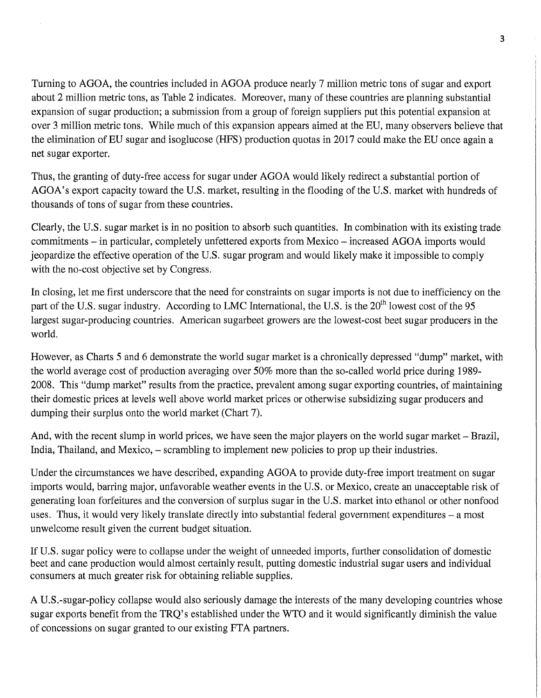Turning to AGOA, the countries included in AGOA produce nearly 7 million metric tons of sugar and export about 2 million metric tons, as Table 2 indicates. Moreover, many of these countries are planning substantial expansion of sugar production; a submission from a group of foreign suppliers put this potential expansion at over 3 million metric tons. While much of this expansion appears aimed at the EU, many observers believe that the elimination of EU sugar and isoglucose (HFS) production quotas in 2017 could make the EU once again a net sugar exporter.

Thus, the granting of duty-free access for sugar under AGOA would likely redirect a substantial portion of AGOA's export capacity toward the U.S. market, resulting in the flooding of the U.S. market with hundreds of thousands of tons of sugar from these countries.

Clearly, the U.S. sugar market is in no position to absorb such quantities. In combination with its existing trade commitments – in particular, completely unfettered exports from Mexico – increased AGOA imports would jeopardize the effective operation of the U.S. sugar program and would likely make it impossible to comply with the no-cost objective set by Congress.

In closing, let me first underscore that the need for constraints on sugar imports is not due to inefficiency on the part of the U.S. sugar industry. According to LMC International, the U.S. is the  $20<sup>th</sup>$  lowest cost of the 95 largest sugar-producing countries. American sugarbeet growers are the lowest-cost beet sugar producers in the world.

However, as Charts 5 and 6 demonstrate the world sugar market is a chronically depressed "dump" market, with the world average cost of production averaging over 50% more than the so-called world price during 1989- 2008. This "dump market" results from the practice, prevalent among sugar exporting countries, of maintaining their domestic prices at levels well above world market prices or otherwise subsidizing sugar producers and dumping their surplus onto the world market (Chart 7).

And, with the recent slump in world prices, we have seen the major players on the world sugar market - Brazil, India, Thailand, and Mexico, – scrambling to implement new policies to prop up their industries.

Under the circumstances we have described, expanding AGOA to provide duty-free import treatment on sugar imports would, barring major, unfavorable weather events in the U.S. or Mexico, create an unacceptable risk of generating loan forfeitures and the conversion of surplus sugar in the U.S. market into ethanol or other nonfood uses. Thus, it would very likely translate directly into substantial federal government expenditures - a most unwelcome result given the current budget situation.

If U.S. sugar policy were to collapse under the weight of unneeded imports, further consolidation of domestic beet and cane production would almost certainly result, putting domestic industrial sugar users and individual consumers at much greater risk for obtaining reliable supplies.

A U.S.-sugar-policy collapse would also seriously damage the interests of the many developing countries whose sugar exports benefit from the TRQ's established under the WTO and it would significantly diminish the value of concessions on sugar granted to our existing FTA partners.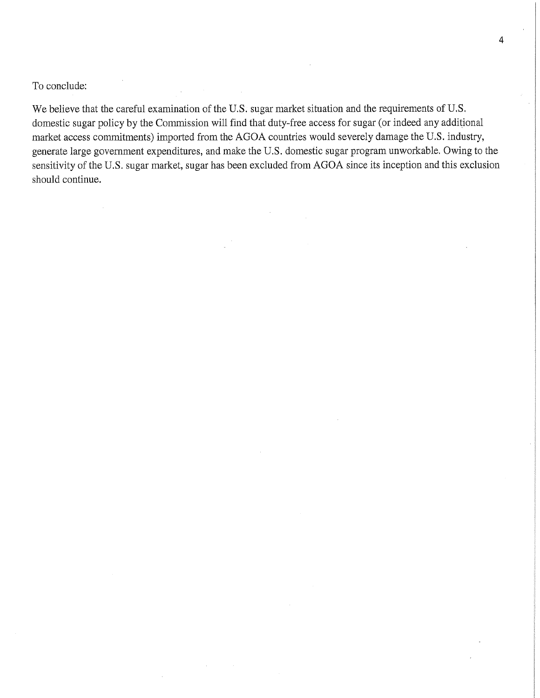To conclude:

We believe that the careful examination of the U.S. sugar market situation and the requirements of U.S. domestic sugar policy by the Commission will find that duty-free access for sugar (or indeed any additional market access commitments) imported from the AGOA countries would severely damage the U.S. industry, generate large government expenditures, and make the U.S. domestic sugar program unworkable. Owing to the sensitivity of the U.S. sugar market, sugar has been excluded from AGOA since its inception and this exclusion should continue.

4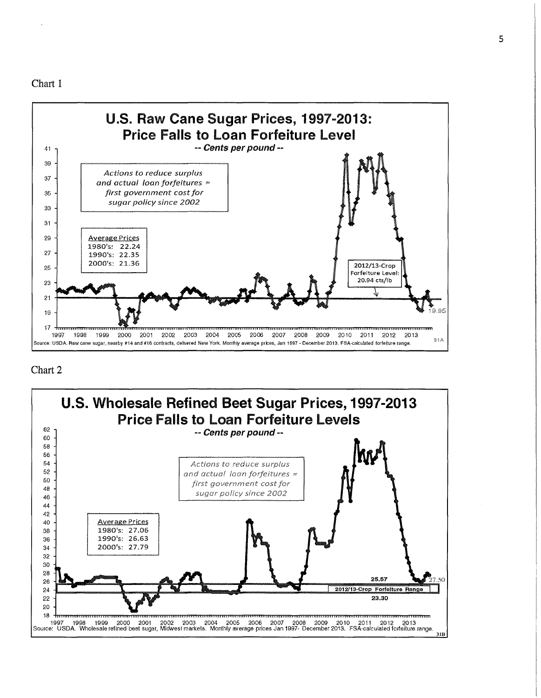Chart 1



#### Chart 2

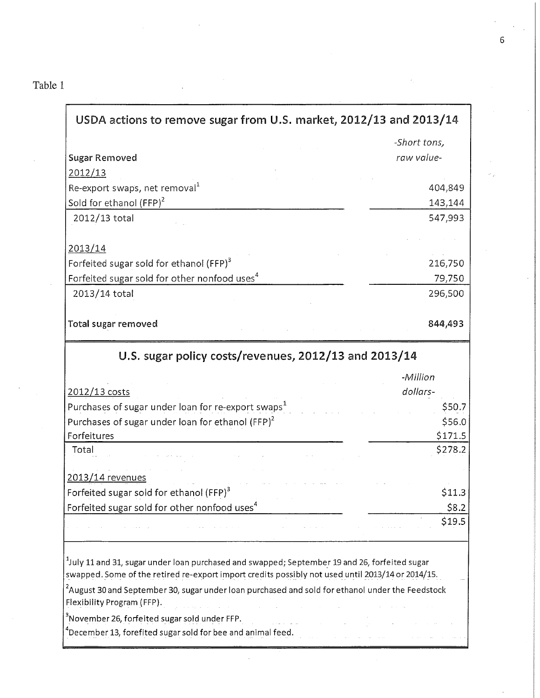# Table 1

| USDA actions to remove sugar from U.S. market, 2012/13 and 2013/14                                                                                                                                             |              |  |  |  |  |  |
|----------------------------------------------------------------------------------------------------------------------------------------------------------------------------------------------------------------|--------------|--|--|--|--|--|
|                                                                                                                                                                                                                | -Short tons, |  |  |  |  |  |
| <b>Sugar Removed</b>                                                                                                                                                                                           | raw value-   |  |  |  |  |  |
| 2012/13                                                                                                                                                                                                        |              |  |  |  |  |  |
| Re-export swaps, net removal $1$                                                                                                                                                                               | 404,849      |  |  |  |  |  |
| Sold for ethanol (FFP) <sup>2</sup>                                                                                                                                                                            | 143,144      |  |  |  |  |  |
| 2012/13 total                                                                                                                                                                                                  | 547,993      |  |  |  |  |  |
|                                                                                                                                                                                                                |              |  |  |  |  |  |
| 2013/14                                                                                                                                                                                                        |              |  |  |  |  |  |
| Forfeited sugar sold for ethanol (FFP) <sup>3</sup>                                                                                                                                                            | 216,750      |  |  |  |  |  |
| Forfeited sugar sold for other nonfood uses <sup>4</sup>                                                                                                                                                       | 79,750       |  |  |  |  |  |
| 2013/14 total                                                                                                                                                                                                  | 296,500      |  |  |  |  |  |
|                                                                                                                                                                                                                |              |  |  |  |  |  |
| Total sugar removed                                                                                                                                                                                            | 844,493      |  |  |  |  |  |
| U.S. sugar policy costs/revenues, 2012/13 and 2013/14                                                                                                                                                          |              |  |  |  |  |  |
|                                                                                                                                                                                                                | -Million     |  |  |  |  |  |
| 2012/13 costs                                                                                                                                                                                                  | dollars-     |  |  |  |  |  |
| Purchases of sugar under loan for re-export swaps <sup>1</sup>                                                                                                                                                 | \$50.7       |  |  |  |  |  |
| Purchases of sugar under loan for ethanol (FFP) <sup>2</sup>                                                                                                                                                   | \$56.0       |  |  |  |  |  |
| Forfeitures                                                                                                                                                                                                    | \$171.5      |  |  |  |  |  |
| Total                                                                                                                                                                                                          | \$278.2      |  |  |  |  |  |
| 2013/14 revenues                                                                                                                                                                                               |              |  |  |  |  |  |
| Forfeited sugar sold for ethanol (FFP) <sup>3</sup>                                                                                                                                                            | \$11.3       |  |  |  |  |  |
| Forfeited sugar sold for other nonfood uses <sup>4</sup>                                                                                                                                                       | \$8.2        |  |  |  |  |  |
|                                                                                                                                                                                                                | \$19.5       |  |  |  |  |  |
|                                                                                                                                                                                                                |              |  |  |  |  |  |
| <sup>1</sup> July 11 and 31, sugar under loan purchased and swapped; September 19 and 26, forfeited sugar<br>swapped. Some of the retired re-export import credits possibly not used until 2013/14 or 2014/15. |              |  |  |  |  |  |
| $2$ August 30 and September 30, sugar under loan purchased and sold for ethanol under the Feedstock<br>Flexibility Program (FFP).                                                                              |              |  |  |  |  |  |
| $^3$ November 26, forfeited sugar sold under FFP.                                                                                                                                                              |              |  |  |  |  |  |
| $^4$ December 13, forefited sugar sold for bee and animal feed.                                                                                                                                                |              |  |  |  |  |  |

 $\overline{a}$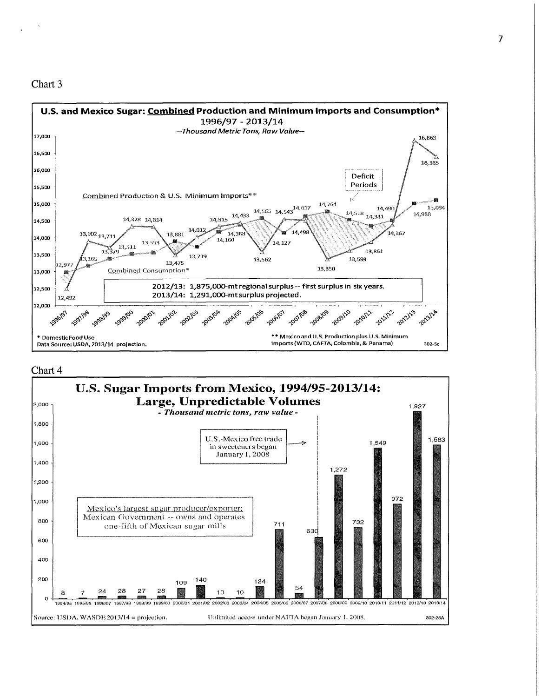



#### Chart 4

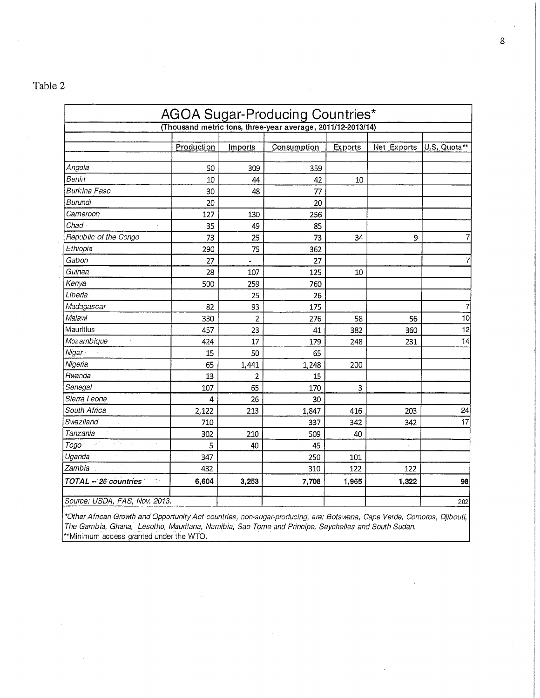# Table 2

| AGOA Sugar-Producing Countries*<br>(Thousand metric tons, three-year average, 2011/12-2013/14) |                |                |       |       |       |     |  |
|------------------------------------------------------------------------------------------------|----------------|----------------|-------|-------|-------|-----|--|
|                                                                                                |                |                |       |       |       |     |  |
| Angola                                                                                         | 50             | 309            | 359   |       |       |     |  |
| Benin                                                                                          | 10             | 44             | 42    | 10    |       |     |  |
| Burkina Faso                                                                                   | 30             | 48             | 77    |       |       |     |  |
| Burundi                                                                                        | 20             |                | 20    |       |       |     |  |
| Cameroon                                                                                       | 127            | 130            | 256   |       |       |     |  |
| Chad                                                                                           | 35             | 49             | 85    |       |       |     |  |
| Republic of the Congo                                                                          | 73             | 25             | 73    | 34    | 9     | 7   |  |
| Ethiopia                                                                                       | 290            | 75             | 362   |       |       |     |  |
| Gabon                                                                                          | 27             |                | 27    |       |       | 7   |  |
| Guinea                                                                                         | 28             | 107            | 125   | 10    |       |     |  |
| Kenya                                                                                          | 500            | 259            | 760   |       |       |     |  |
| Liberia                                                                                        |                | 25             | 26    |       |       |     |  |
| Madagascar                                                                                     | 82             | 93             | 175   |       |       | 7   |  |
| Malawi                                                                                         | 330            | $\overline{2}$ | 276   | 58    | 56    | 10  |  |
| Mauritius                                                                                      | 457            | 23             | 41    | 382   | 360   | 12  |  |
| Mozambique                                                                                     | 424            | 17             | 179   | 248   | 231   | 14  |  |
| Niger-                                                                                         | 15             | 50             | 65    |       |       |     |  |
| Nigeria                                                                                        | 65             | 1,441          | 1,248 | 200   |       |     |  |
| Rwanda                                                                                         | 13             | $\overline{2}$ | 15    |       |       |     |  |
| Senegal                                                                                        | 107            | 65             | 170   | 3     |       |     |  |
| Sierra Leone                                                                                   | $\overline{4}$ | 26             | 30    |       |       |     |  |
| South Africa                                                                                   | 2,122          | 213            | 1,847 | 416   | 203   | 24  |  |
| Swaziland                                                                                      | 710            |                | 337   | 342   | 342   | 17  |  |
| Tanzania                                                                                       | 302            | 210            | 509   | 40    |       |     |  |
| ٠.<br>Togo:<br>H.                                                                              | 5              | 40             | 45    |       | ×.    |     |  |
| Uganda                                                                                         | 347            |                | 250   | 101   |       |     |  |
| ß.<br>Zambia                                                                                   | 432            |                | 310   | 122   | 122   |     |  |
| TOTAL - 26 countries<br>t i                                                                    | 6,604          | 3,253          | 7,708 | 1,965 | 1,322 | 98  |  |
| Source: USDA, FAS, Nov. 2013.                                                                  |                |                |       |       |       | 202 |  |

'Other African Growth and Opportunity Act countries, non-sugar-producing, are: Botsmna, Cape Verde, Comoros, Djibouti, The Gambia, Ghana, Lesotho, Mauritana, Namibia, Sao Tome and Principe, Seychelles and South Sudan. "Minimum access granted under the WTO.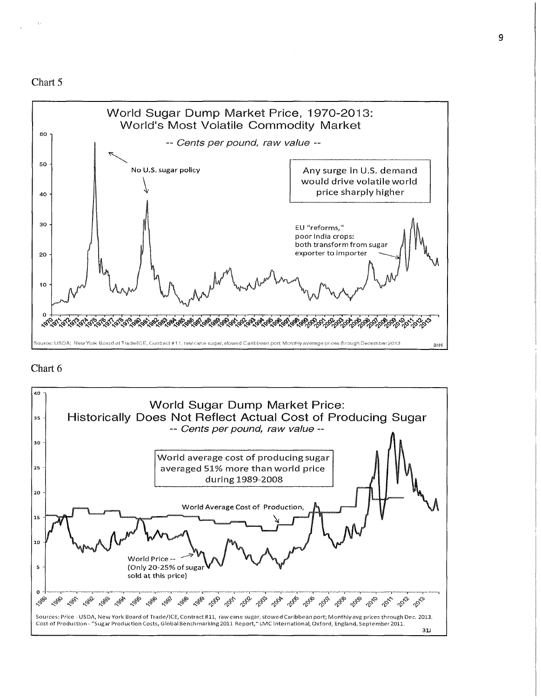



#### Chart 6